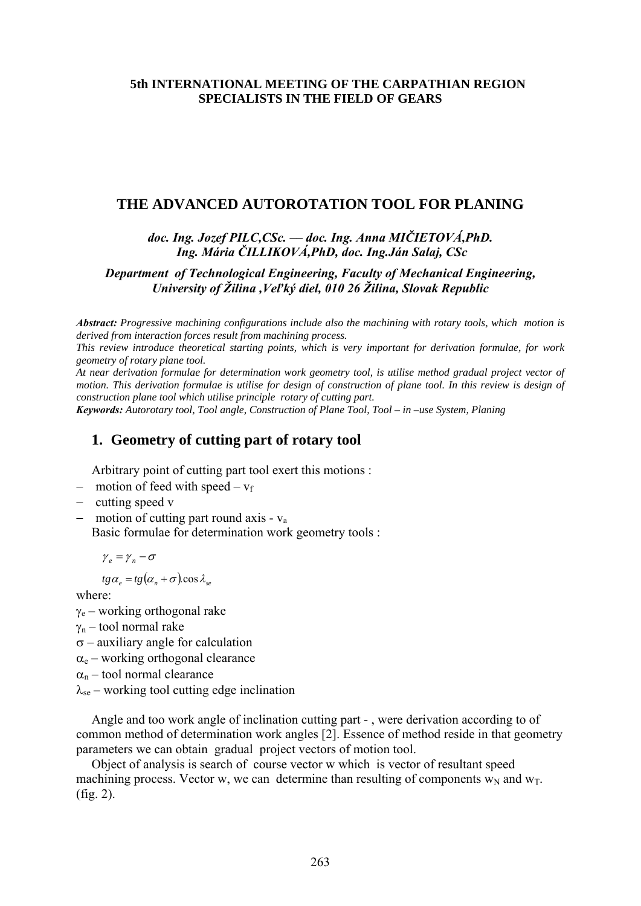## **5th INTERNATIONAL MEETING OF THE CARPATHIAN REGION SPECIALISTS IN THE FIELD OF GEARS**

### **THE ADVANCED AUTOROTATION TOOL FOR PLANING**

### *doc. Ing. Jozef PILC,CSc. –– doc. Ing. Anna MIČIETOVÁ,PhD. Ing. Mária ČILLIKOVÁ,PhD, doc. Ing.Ján Salaj, CSc*

### *Department of Technological Engineering, Faculty of Mechanical Engineering, University of Žilina ,Veľký diel, 010 26 Žilina, Slovak Republic*

*Abstract: Progressive machining configurations include also the machining with rotary tools, which motion is derived from interaction forces result from machining process.* 

*This review introduce theoretical starting points, which is very important for derivation formulae, for work geometry of rotary plane tool.* 

*At near derivation formulae for determination work geometry tool, is utilise method gradual project vector of motion. This derivation formulae is utilise for design of construction of plane tool. In this review is design of construction plane tool which utilise principle rotary of cutting part.* 

*Keywords: Autorotary tool, Tool angle, Construction of Plane Tool, Tool – in –use System, Planing*

### **1. Geometry of cutting part of rotary tool**

Arbitrary point of cutting part tool exert this motions :

- $-$  motion of feed with speed  $v_f$
- − cutting speed v
- − motion of cutting part round axis va

Basic formulae for determination work geometry tools :

 $\gamma_e = \gamma_n - \sigma$ 

 $tg\alpha_e = tg(\alpha_n + \sigma)\cos\lambda_{se}$ 

where:

 $\gamma_e$  – working orthogonal rake

 $γ_n$  – tool normal rake

 $\sigma$  – auxiliary angle for calculation

 $\alpha_e$  – working orthogonal clearance

 $\alpha_n$  – tool normal clearance

 $\lambda_{\text{se}}$  – working tool cutting edge inclination

Angle and too work angle of inclination cutting part - , were derivation according to of common method of determination work angles [2]. Essence of method reside in that geometry parameters we can obtain gradual project vectors of motion tool.

Object of analysis is search of course vector w which is vector of resultant speed machining process. Vector w, we can determine than resulting of components  $w_N$  and  $w_T$ . (fig. 2).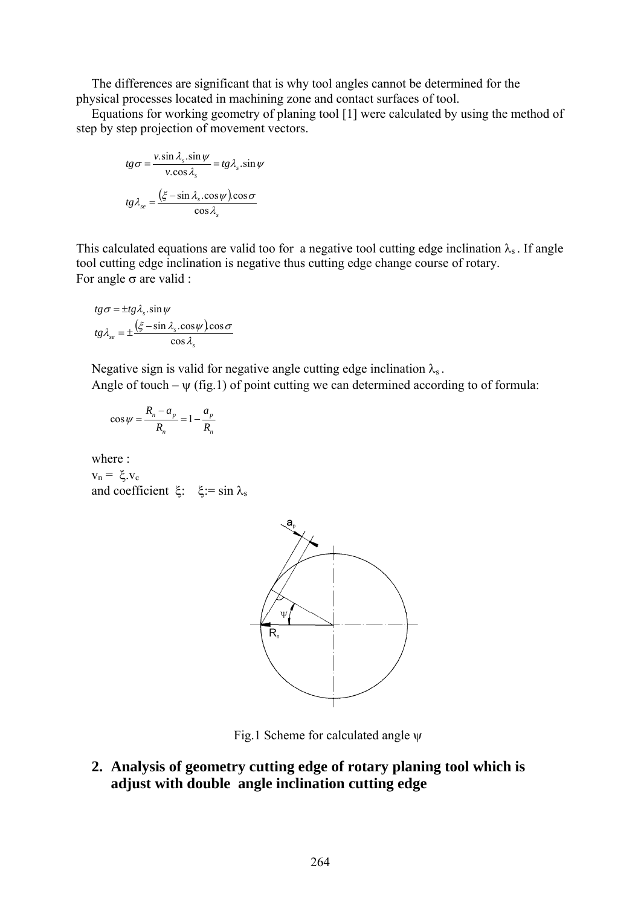The differences are significant that is why tool angles cannot be determined for the physical processes located in machining zone and contact surfaces of tool.

Equations for working geometry of planing tool [1] were calculated by using the method of step by step projection of movement vectors.

$$
tg\sigma = \frac{v.\sin\lambda_s.\sin\psi}{v.\cos\lambda_s} = tg\lambda_s.\sin\psi
$$

$$
tg\lambda_{se} = \frac{(\xi - \sin\lambda_s.\cos\psi)\cos\sigma}{\cos\lambda_s}
$$

This calculated equations are valid too for a negative tool cutting edge inclination  $\lambda_s$ . If angle tool cutting edge inclination is negative thus cutting edge change course of rotary. For angle  $\sigma$  are valid :

$$
tg\sigma = \pm tg\lambda_s \cdot \sin\psi
$$
  

$$
tg\lambda_{se} = \pm \frac{(\xi - \sin\lambda_s \cdot \cos\psi)\cos\sigma}{\cos\lambda_s}
$$

Negative sign is valid for negative angle cutting edge inclination  $\lambda_s$ .

Angle of touch –  $\psi$  (fig.1) of point cutting we can determined according to of formula:

$$
\cos\psi = \frac{R_n - a_p}{R_n} = 1 - \frac{a_p}{R_n}
$$

where :

 $v_n = \xi$ .  $v_c$ and coefficient ξ: ξ: = sin  $\lambda_s$ 



Fig.1 Scheme for calculated angle  $\psi$ 

**2. Analysis of geometry cutting edge of rotary planing tool which is adjust with double angle inclination cutting edge**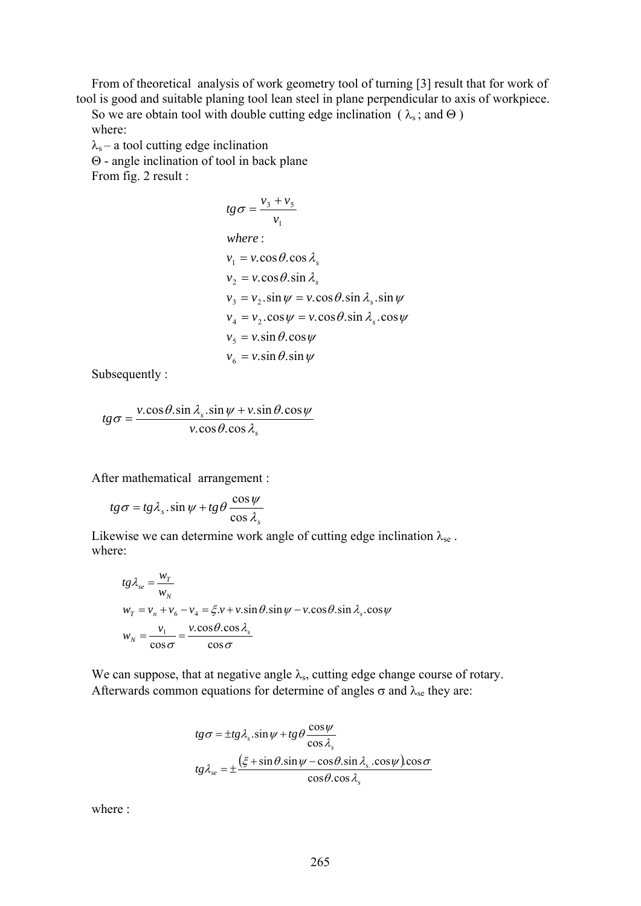From of theoretical analysis of work geometry tool of turning [3] result that for work of tool is good and suitable planing tool lean steel in plane perpendicular to axis of workpiece.

So we are obtain tool with double cutting edge inclination ( $\lambda_s$ ; and  $\Theta$ ) where:

 $\lambda_s$  – a tool cutting edge inclination

Θ - angle inclination of tool in back plane

From fig. 2 result :

$$
tg\sigma = \frac{v_3 + v_5}{v_1}
$$
  
\nwhere:  
\n
$$
v_1 = v \cdot \cos \theta \cdot \cos \lambda_s
$$
  
\n
$$
v_2 = v \cdot \cos \theta \cdot \sin \lambda_s
$$
  
\n
$$
v_3 = v_2 \cdot \sin \psi = v \cdot \cos \theta \cdot \sin \lambda_s \cdot \sin \psi
$$
  
\n
$$
v_4 = v_2 \cdot \cos \psi = v \cdot \cos \theta \cdot \sin \lambda_s \cdot \cos \psi
$$
  
\n
$$
v_5 = v \cdot \sin \theta \cdot \cos \psi
$$
  
\n
$$
v_6 = v \cdot \sin \theta \cdot \sin \psi
$$

Subsequently :

$$
tg\sigma = \frac{v.\cos\theta.\sin\lambda_s.\sin\psi + v.\sin\theta.\cos\psi}{v.\cos\theta.\cos\lambda_s}
$$

After mathematical arrangement :

$$
tg\sigma = tg\lambda_s \cdot \sin\psi + tg\theta \frac{\cos\psi}{\cos\lambda_s}
$$

Likewise we can determine work angle of cutting edge inclination  $\lambda_{se}$ . where:

$$
tg\lambda_{se} = \frac{w_T}{w_N}
$$
  
\n
$$
w_T = v_n + v_6 - v_4 = \xi.v + v.\sin\theta.\sin\psi - v.\cos\theta.\sin\lambda_s.\cos\psi
$$
  
\n
$$
w_N = \frac{v_1}{\cos\sigma} = \frac{v.\cos\theta.\cos\lambda_s}{\cos\sigma}
$$

We can suppose, that at negative angle  $\lambda_s$ , cutting edge change course of rotary. Afterwards common equations for determine of angles  $\sigma$  and  $\lambda_{se}$  they are:

$$
tg \sigma = \pm tg \lambda_s \cdot \sin \psi + tg \theta \frac{\cos \psi}{\cos \lambda_s}
$$

$$
tg \lambda_{se} = \pm \frac{(\xi + \sin \theta \cdot \sin \psi - \cos \theta \cdot \sin \lambda_s \cdot \cos \psi)\cos \sigma}{\cos \theta \cdot \cos \lambda_s}
$$

where :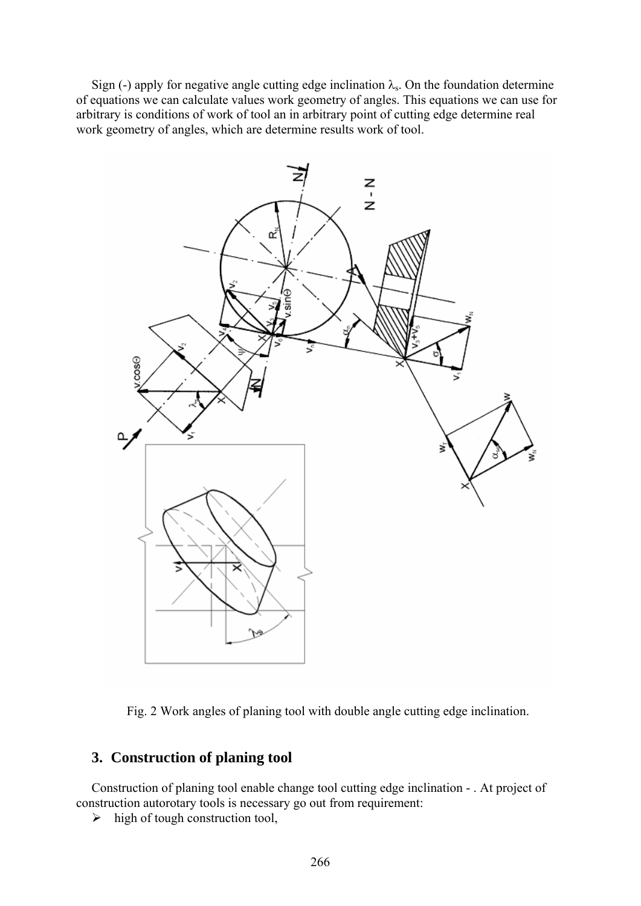Sign (-) apply for negative angle cutting edge inclination  $\lambda_s$ . On the foundation determine of equations we can calculate values work geometry of angles. This equations we can use for arbitrary is conditions of work of tool an in arbitrary point of cutting edge determine real work geometry of angles, which are determine results work of tool.



Fig. 2 Work angles of planing tool with double angle cutting edge inclination.

# **3. Construction of planing tool**

Construction of planing tool enable change tool cutting edge inclination - . At project of construction autorotary tools is necessary go out from requirement:

 $\triangleright$  high of tough construction tool,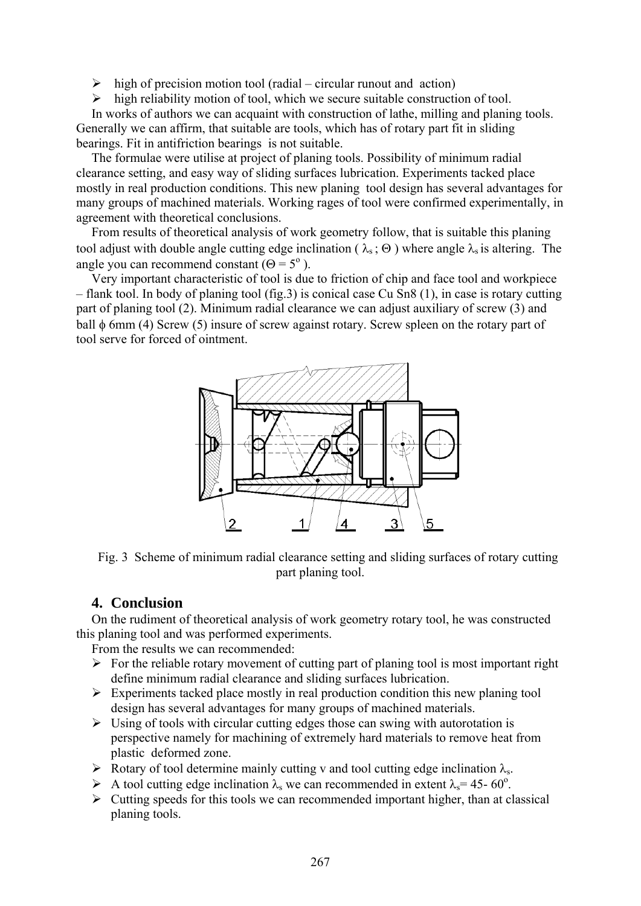$\triangleright$  high of precision motion tool (radial – circular runout and action)

 $\triangleright$  high reliability motion of tool, which we secure suitable construction of tool.

In works of authors we can acquaint with construction of lathe, milling and planing tools. Generally we can affirm, that suitable are tools, which has of rotary part fit in sliding bearings. Fit in antifriction bearings is not suitable.

The formulae were utilise at project of planing tools. Possibility of minimum radial clearance setting, and easy way of sliding surfaces lubrication. Experiments tacked place mostly in real production conditions. This new planing tool design has several advantages for many groups of machined materials. Working rages of tool were confirmed experimentally, in agreement with theoretical conclusions.

From results of theoretical analysis of work geometry follow, that is suitable this planing tool adjust with double angle cutting edge inclination ( $\lambda_s$ ;  $\Theta$ ) where angle  $\lambda_s$  is altering. The angle you can recommend constant  $(\Theta = 5^{\circ})$ .

Very important characteristic of tool is due to friction of chip and face tool and workpiece – flank tool. In body of planing tool (fig.3) is conical case Cu Sn8 (1), in case is rotary cutting part of planing tool (2). Minimum radial clearance we can adjust auxiliary of screw (3) and ball φ 6mm (4) Screw (5) insure of screw against rotary. Screw spleen on the rotary part of tool serve for forced of ointment.



Fig. 3 Scheme of minimum radial clearance setting and sliding surfaces of rotary cutting part planing tool.

# **4. Conclusion**

On the rudiment of theoretical analysis of work geometry rotary tool, he was constructed this planing tool and was performed experiments.

From the results we can recommended:

- $\triangleright$  For the reliable rotary movement of cutting part of planing tool is most important right define minimum radial clearance and sliding surfaces lubrication.
- $\triangleright$  Experiments tacked place mostly in real production condition this new planing tool design has several advantages for many groups of machined materials.
- $\triangleright$  Using of tools with circular cutting edges those can swing with autorotation is perspective namely for machining of extremely hard materials to remove heat from plastic deformed zone.
- Example 1 Rotary of tool determine mainly cutting v and tool cutting edge inclination  $\lambda_s$ .
- A tool cutting edge inclination  $\lambda_s$  we can recommended in extent  $\lambda_s = 45 60^\circ$ .
- $\triangleright$  Cutting speeds for this tools we can recommended important higher, than at classical planing tools.